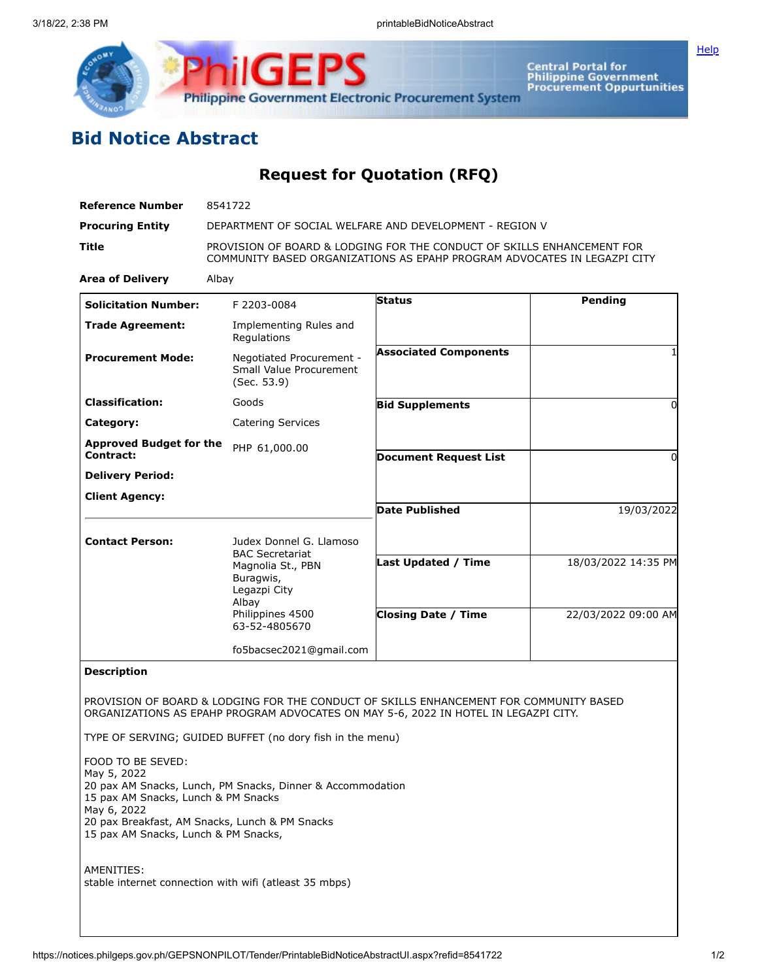

## **Bid Notice Abstract**

**Request for Quotation (RFQ)**

| <b>Reference Number</b>                                                                                                        | 8541722                                                                                                                                                                       |                              |                     |
|--------------------------------------------------------------------------------------------------------------------------------|-------------------------------------------------------------------------------------------------------------------------------------------------------------------------------|------------------------------|---------------------|
| <b>Procuring Entity</b>                                                                                                        | DEPARTMENT OF SOCIAL WELFARE AND DEVELOPMENT - REGION V                                                                                                                       |                              |                     |
| Title                                                                                                                          | PROVISION OF BOARD & LODGING FOR THE CONDUCT OF SKILLS ENHANCEMENT FOR<br>COMMUNITY BASED ORGANIZATIONS AS EPAHP PROGRAM ADVOCATES IN LEGAZPI CITY                            |                              |                     |
| <b>Area of Delivery</b>                                                                                                        | Albay                                                                                                                                                                         |                              |                     |
| <b>Solicitation Number:</b>                                                                                                    | F 2203-0084                                                                                                                                                                   | <b>Status</b>                | Pending             |
| <b>Trade Agreement:</b>                                                                                                        | Implementing Rules and<br>Regulations                                                                                                                                         |                              |                     |
| <b>Procurement Mode:</b>                                                                                                       | Negotiated Procurement -<br>Small Value Procurement<br>(Sec. 53.9)                                                                                                            | <b>Associated Components</b> |                     |
| <b>Classification:</b>                                                                                                         | Goods                                                                                                                                                                         | <b>Bid Supplements</b>       | 0                   |
| Category:                                                                                                                      | <b>Catering Services</b>                                                                                                                                                      |                              |                     |
| <b>Approved Budget for the</b><br>Contract:                                                                                    | PHP 61,000.00                                                                                                                                                                 |                              |                     |
| <b>Delivery Period:</b>                                                                                                        |                                                                                                                                                                               | <b>Document Request List</b> | 0                   |
| <b>Client Agency:</b>                                                                                                          |                                                                                                                                                                               |                              |                     |
|                                                                                                                                |                                                                                                                                                                               | <b>Date Published</b>        | 19/03/2022          |
| <b>Contact Person:</b>                                                                                                         | Judex Donnel G. Llamoso<br><b>BAC Secretariat</b><br>Magnolia St., PBN<br>Buragwis,<br>Legazpi City<br>Albay<br>Philippines 4500<br>63-52-4805670                             | Last Updated / Time          | 18/03/2022 14:35 PM |
|                                                                                                                                |                                                                                                                                                                               | <b>Closing Date / Time</b>   | 22/03/2022 09:00 AM |
|                                                                                                                                | fo5bacsec2021@gmail.com                                                                                                                                                       |                              |                     |
| <b>Description</b>                                                                                                             |                                                                                                                                                                               |                              |                     |
|                                                                                                                                | PROVISION OF BOARD & LODGING FOR THE CONDUCT OF SKILLS ENHANCEMENT FOR COMMUNITY BASED<br>ORGANIZATIONS AS EPAHP PROGRAM ADVOCATES ON MAY 5-6, 2022 IN HOTEL IN LEGAZPI CITY. |                              |                     |
|                                                                                                                                | TYPE OF SERVING; GUIDED BUFFET (no dory fish in the menu)                                                                                                                     |                              |                     |
| FOOD TO BE SEVED:<br>May 5, 2022<br>15 pax AM Snacks, Lunch & PM Snacks<br>May 6, 2022<br>15 pax AM Snacks, Lunch & PM Snacks, | 20 pax AM Snacks, Lunch, PM Snacks, Dinner & Accommodation<br>20 pax Breakfast, AM Snacks, Lunch & PM Snacks                                                                  |                              |                     |
| AMENITIES:                                                                                                                     | stable internet connection with wifi (atleast 35 mbps)                                                                                                                        |                              |                     |